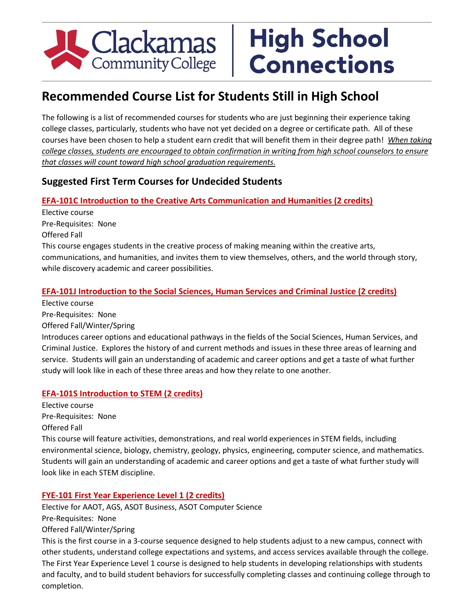# Clackamas

## **High School Connections**

### **Recommended Course List for Students Still in High School**

The following is a list of recommended courses for students who are just beginning their experience taking college classes, particularly, students who have not yet decided on a degree or certificate path. All of these courses have been chosen to help a student earn credit that will benefit them in their degree path! *When taking college classes, students are encouraged to obtain confirmation in writing from high school counselors to ensure that classes will count toward high school graduation requirements.*

#### **Suggested First Term Courses for Undecided Students**

#### **EFA-101C Introduction to the Creative Arts Communication and Humanities (2 credits)**

Elective course Pre-Requisites: None Offered Fall

This course engages students in the creative process of making meaning within the creative arts, communications, and humanities, and invites them to view themselves, others, and the world through story, while discovery academic and career possibilities.

#### **EFA-101J Introduction to the Social Sciences, Human Services and Criminal Justice (2 credits)**

Elective course

Pre-Requisites: None

Offered Fall/Winter/Spring

Introduces career options and educational pathways in the fields of the Social Sciences, Human Services, and Criminal Justice. Explores the history of and current methods and issues in these three areas of learning and service. Students will gain an understanding of academic and career options and get a taste of what further study will look like in each of these three areas and how they relate to one another.

#### **EFA-101S Introduction to STEM (2 credits)**

Elective course Pre-Requisites: None Offered Fall

This course will feature activities, demonstrations, and real world experiences in STEM fields, including environmental science, biology, chemistry, geology, physics, engineering, computer science, and mathematics. Students will gain an understanding of academic and career options and get a taste of what further study will look like in each STEM discipline.

#### **FYE-101 First Year Experience Level 1 (2 credits)**

Elective for AAOT, AGS, ASOT Business, ASOT Computer Science

Pre-Requisites: None

Offered Fall/Winter/Spring

This is the first course in a 3-course sequence designed to help students adjust to a new campus, connect with other students, understand college expectations and systems, and access services available through the college. The First Year Experience Level 1 course is designed to help students in developing relationships with students and faculty, and to build student behaviors for successfully completing classes and continuing college through to completion.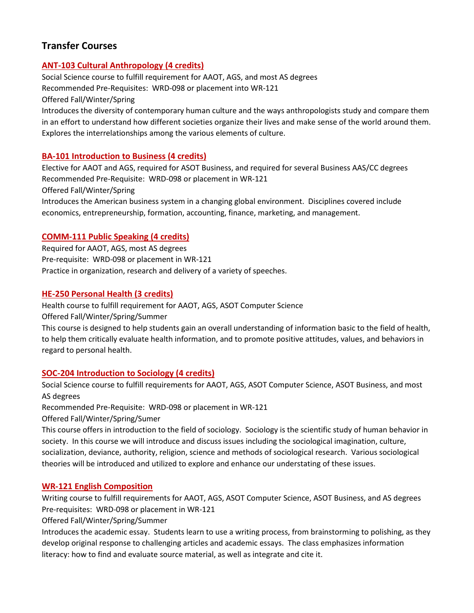#### **Transfer Courses**

#### **ANT-103 Cultural Anthropology (4 credits)**

Social Science course to fulfill requirement for AAOT, AGS, and most AS degrees Recommended Pre-Requisites: WRD-098 or placement into WR-121 Offered Fall/Winter/Spring Introduces the diversity of contemporary human culture and the ways anthropologists study and compare them in an effort to understand how different societies organize their lives and make sense of the world around them. Explores the interrelationships among the various elements of culture.

#### **BA-101 Introduction to Business (4 credits)**

Elective for AAOT and AGS, required for ASOT Business, and required for several Business AAS/CC degrees Recommended Pre-Requisite: WRD-098 or placement in WR-121

Offered Fall/Winter/Spring

Introduces the American business system in a changing global environment. Disciplines covered include economics, entrepreneurship, formation, accounting, finance, marketing, and management.

#### **COMM-111 Public Speaking (4 credits)**

Required for AAOT, AGS, most AS degrees Pre-requisite: WRD-098 or placement in WR-121 Practice in organization, research and delivery of a variety of speeches.

#### **HE-250 Personal Health (3 credits)**

Health course to fulfill requirement for AAOT, AGS, ASOT Computer Science Offered Fall/Winter/Spring/Summer

This course is designed to help students gain an overall understanding of information basic to the field of health, to help them critically evaluate health information, and to promote positive attitudes, values, and behaviors in regard to personal health.

#### **SOC-204 Introduction to Sociology (4 credits)**

Social Science course to fulfill requirements for AAOT, AGS, ASOT Computer Science, ASOT Business, and most AS degrees

Recommended Pre-Requisite: WRD-098 or placement in WR-121

Offered Fall/Winter/Spring/Sumer

This course offers in introduction to the field of sociology. Sociology is the scientific study of human behavior in society. In this course we will introduce and discuss issues including the sociological imagination, culture, socialization, deviance, authority, religion, science and methods of sociological research. Various sociological theories will be introduced and utilized to explore and enhance our understating of these issues.

#### **WR-121 English Composition**

Writing course to fulfill requirements for AAOT, AGS, ASOT Computer Science, ASOT Business, and AS degrees Pre-requisites: WRD-098 or placement in WR-121

Offered Fall/Winter/Spring/Summer

Introduces the academic essay. Students learn to use a writing process, from brainstorming to polishing, as they develop original response to challenging articles and academic essays. The class emphasizes information literacy: how to find and evaluate source material, as well as integrate and cite it.